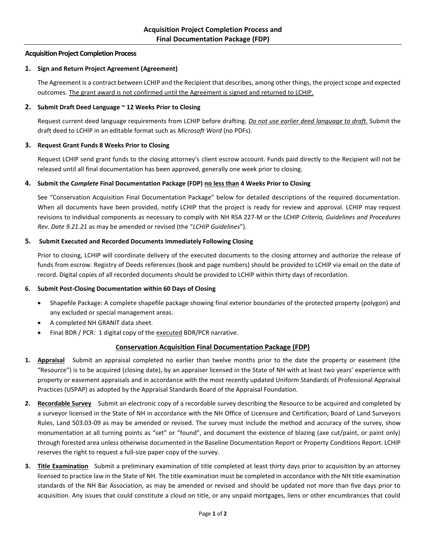### **Acquisition Project Completion Process**

## **1. Sign and Return Project Agreement (Agreement)**

The Agreement is a contract between LCHIP and the Recipient that describes, among other things, the project scope and expected outcomes. The grant award is not confirmed until the Agreement is signed and returned to LCHIP.

### **2. Submit Draft Deed Language ~ 12 Weeks Prior to Closing**

Request current deed language requirements from LCHIP before drafting. *Do not use earlier deed language to draft.* Submit the draft deed to LCHIP in an editable format such as *Microsoft Word* (no PDFs).

## **3. Request Grant Funds 8 Weeks Prior to Closing**

Request LCHIP send grant funds to the closing attorney's client escrow account. Funds paid directly to the Recipient will not be released until all final documentation has been approved, generally one week prior to closing.

## **4. Submit the C***omplete* **Final Documentation Package (FDP) no less than 4 Weeks Prior to Closing**

See "Conservation Acquisition Final Documentation Package" below for detailed descriptions of the required documentation. When all documents have been provided, notify LCHIP that the project is ready for review and approval. LCHIP may request revisions to individual components as necessary to comply with NH RSA 227-M or the LCHIP *Criteria, Guidelines and Procedures Rev. Date 9.21.21* as may be amended or revised (the "*LCHIP Guidelines*").

## **5. Submit Executed and Recorded Documents Immediately Following Closing**

Prior to closing, LCHIP will coordinate delivery of the executed documents to the closing attorney and authorize the release of funds from escrow. Registry of Deeds references (book and page numbers) should be provided to LCHIP via email on the date of record. Digital copies of all recorded documents should be provided to LCHIP within thirty days of recordation.

# **6. Submit Post-Closing Documentation within 60 Days of Closing**

- Shapefile Package: A complete shapefile package showing final exterior boundaries of the protected property (polygon) and any excluded or special management areas.
- A completed NH GRANIT data sheet.
- Final BDR / PCR: 1 digital copy of the executed BDR/PCR narrative.

# **Conservation Acquisition Final Documentation Package (FDP)**

- **1. Appraisal** Submit an appraisal completed no earlier than twelve months prior to the date the property or easement (the "Resource") is to be acquired (closing date), by an appraiser licensed in the State of NH with at least two years' experience with property or easement appraisals and in accordance with the most recently updated Uniform Standards of Professional Appraisal Practices (USPAP) as adopted by the Appraisal Standards Board of the Appraisal Foundation.
- **2. Recordable Survey** Submit an electronic copy of a recordable survey describing the Resource to be acquired and completed by a surveyor licensed in the State of NH in accordance with the NH Office of Licensure and Certification, Board of Land Surveyors Rules, Land 503.03-09 as may be amended or revised. The survey must include the method and accuracy of the survey, show monumentation at all turning points as "set" or "found", and document the existence of blazing (axe cut/paint, or paint only) through forested area unless otherwise documented in the Baseline Documentation Report or Property Conditions Report. LCHIP reserves the right to request a full-size paper copy of the survey.
- **3. Title Examination** Submit a preliminary examination of title completed at least thirty days prior to acquisition by an attorney licensed to practice law in the State of NH. The title examination must be completed in accordance with the NH title examination standards of the NH Bar Association, as may be amended or revised and should be updated not more than five days prior to acquisition. Any issues that could constitute a cloud on title, or any unpaid mortgages, liens or other encumbrances that could